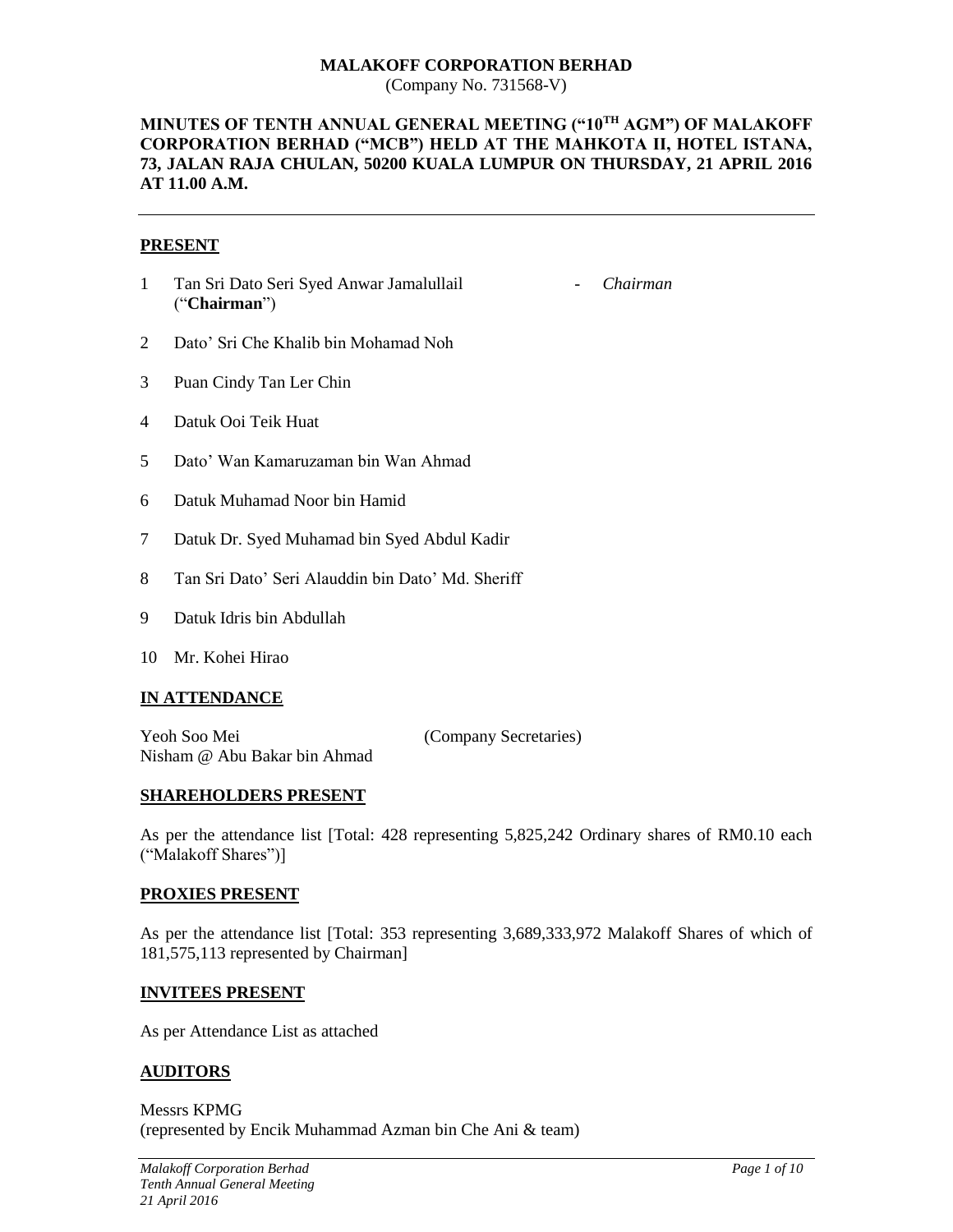# **MALAKOFF CORPORATION BERHAD**

(Company No. 731568-V)

#### **MINUTES OF TENTH ANNUAL GENERAL MEETING ("10TH AGM") OF MALAKOFF CORPORATION BERHAD ("MCB") HELD AT THE MAHKOTA II, HOTEL ISTANA, 73, JALAN RAJA CHULAN, 50200 KUALA LUMPUR ON THURSDAY, 21 APRIL 2016 AT 11.00 A.M.**

#### **PRESENT**

1 Tan Sri Dato Seri Syed Anwar Jamalullail ("**Chairman**")

- *Chairman*

- 2 Dato' Sri Che Khalib bin Mohamad Noh
- 3 Puan Cindy Tan Ler Chin
- 4 Datuk Ooi Teik Huat
- 5 Dato' Wan Kamaruzaman bin Wan Ahmad
- 6 Datuk Muhamad Noor bin Hamid
- 7 Datuk Dr. Syed Muhamad bin Syed Abdul Kadir
- 8 Tan Sri Dato' Seri Alauddin bin Dato' Md. Sheriff
- 9 Datuk Idris bin Abdullah
- 10 Mr. Kohei Hirao

#### **IN ATTENDANCE**

Yeoh Soo Mei (Company Secretaries) Nisham @ Abu Bakar bin Ahmad

#### **SHAREHOLDERS PRESENT**

As per the attendance list [Total: 428 representing 5,825,242 Ordinary shares of RM0.10 each ("Malakoff Shares")]

#### **PROXIES PRESENT**

As per the attendance list [Total: 353 representing 3,689,333,972 Malakoff Shares of which of 181,575,113 represented by Chairman]

#### **INVITEES PRESENT**

As per Attendance List as attached

#### **AUDITORS**

Messrs KPMG (represented by Encik Muhammad Azman bin Che Ani & team)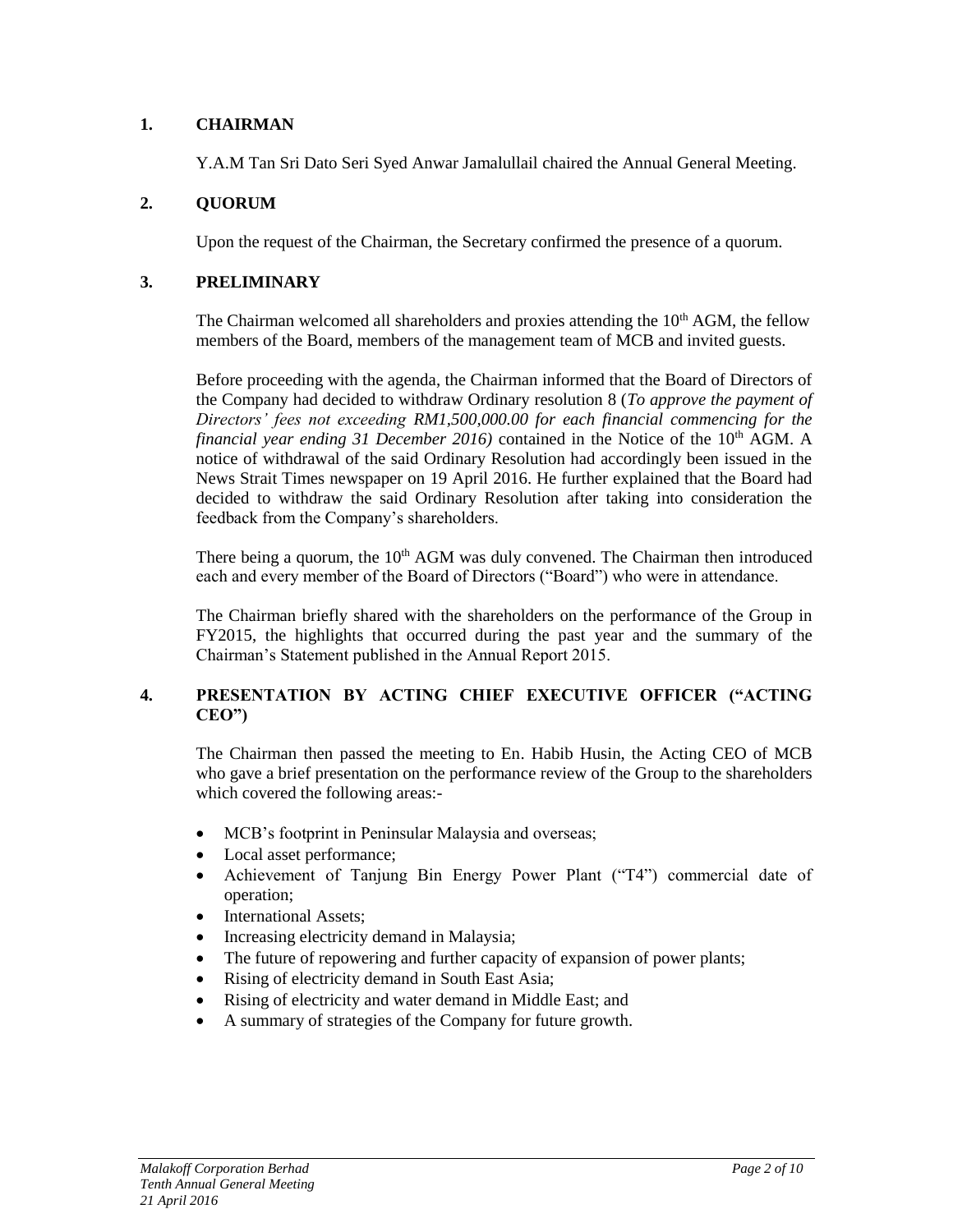# **1. CHAIRMAN**

Y.A.M Tan Sri Dato Seri Syed Anwar Jamalullail chaired the Annual General Meeting.

# **2. QUORUM**

Upon the request of the Chairman, the Secretary confirmed the presence of a quorum.

#### **3. PRELIMINARY**

The Chairman welcomed all shareholders and proxies attending the  $10<sup>th</sup>$  AGM, the fellow members of the Board, members of the management team of MCB and invited guests.

Before proceeding with the agenda, the Chairman informed that the Board of Directors of the Company had decided to withdraw Ordinary resolution 8 (*To approve the payment of Directors' fees not exceeding RM1,500,000.00 for each financial commencing for the financial year ending 31 December 2016*) contained in the Notice of the 10<sup>th</sup> AGM. A notice of withdrawal of the said Ordinary Resolution had accordingly been issued in the News Strait Times newspaper on 19 April 2016. He further explained that the Board had decided to withdraw the said Ordinary Resolution after taking into consideration the feedback from the Company's shareholders.

There being a quorum, the  $10<sup>th</sup>$  AGM was duly convened. The Chairman then introduced each and every member of the Board of Directors ("Board") who were in attendance.

The Chairman briefly shared with the shareholders on the performance of the Group in FY2015, the highlights that occurred during the past year and the summary of the Chairman's Statement published in the Annual Report 2015.

# **4. PRESENTATION BY ACTING CHIEF EXECUTIVE OFFICER ("ACTING CEO")**

The Chairman then passed the meeting to En. Habib Husin, the Acting CEO of MCB who gave a brief presentation on the performance review of the Group to the shareholders which covered the following areas:-

- MCB's footprint in Peninsular Malaysia and overseas;
- Local asset performance;
- Achievement of Tanjung Bin Energy Power Plant ("T4") commercial date of operation;
- International Assets;
- Increasing electricity demand in Malaysia;
- The future of repowering and further capacity of expansion of power plants;
- Rising of electricity demand in South East Asia;
- Rising of electricity and water demand in Middle East; and
- A summary of strategies of the Company for future growth.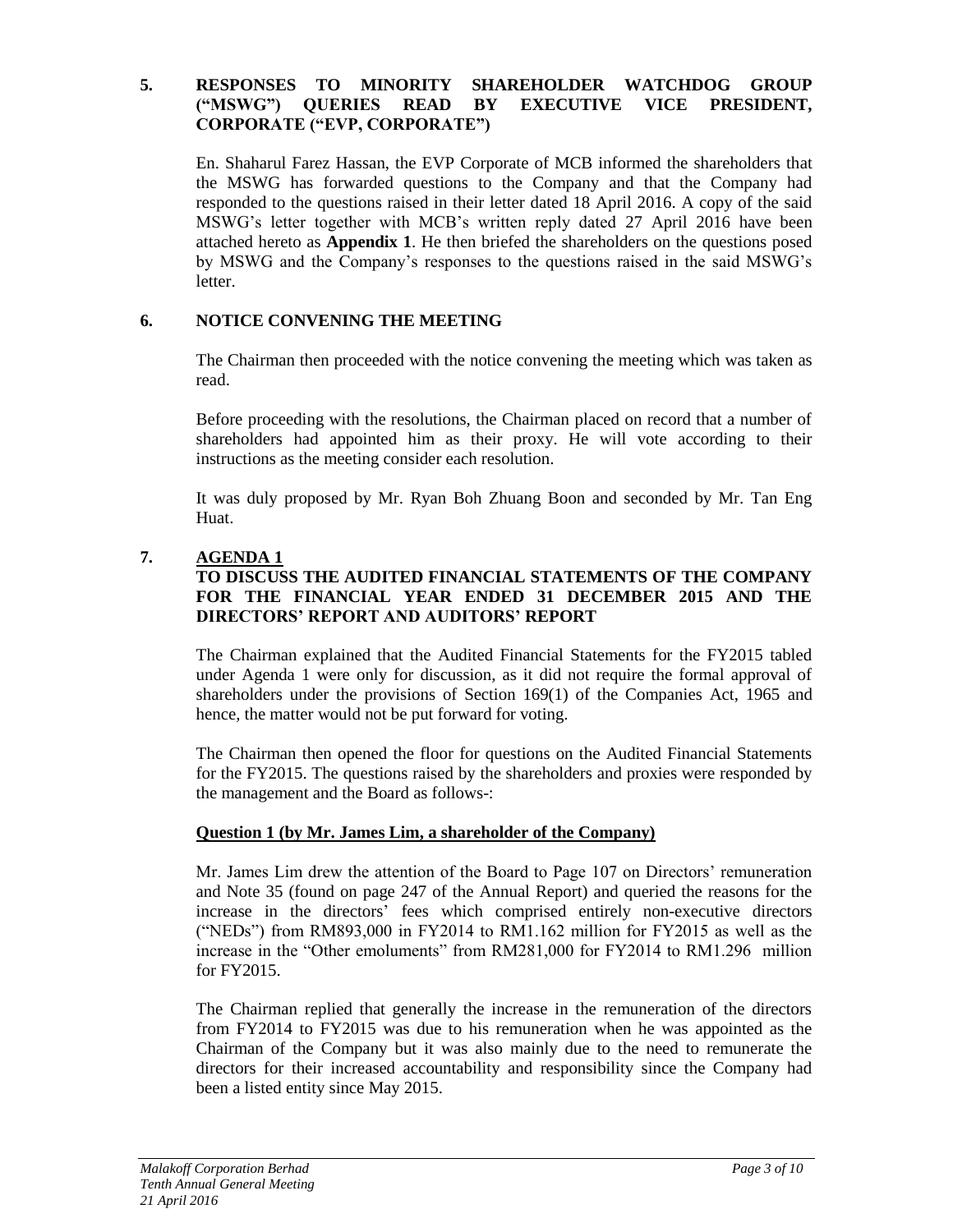# **5. RESPONSES TO MINORITY SHAREHOLDER WATCHDOG GROUP ("MSWG") QUERIES READ BY EXECUTIVE VICE PRESIDENT, CORPORATE ("EVP, CORPORATE")**

En. Shaharul Farez Hassan, the EVP Corporate of MCB informed the shareholders that the MSWG has forwarded questions to the Company and that the Company had responded to the questions raised in their letter dated 18 April 2016. A copy of the said MSWG's letter together with MCB's written reply dated 27 April 2016 have been attached hereto as **Appendix 1**. He then briefed the shareholders on the questions posed by MSWG and the Company's responses to the questions raised in the said MSWG's letter.

# **6. NOTICE CONVENING THE MEETING**

The Chairman then proceeded with the notice convening the meeting which was taken as read.

Before proceeding with the resolutions, the Chairman placed on record that a number of shareholders had appointed him as their proxy. He will vote according to their instructions as the meeting consider each resolution.

It was duly proposed by Mr. Ryan Boh Zhuang Boon and seconded by Mr. Tan Eng Huat.

# **7. AGENDA 1**

# **TO DISCUSS THE AUDITED FINANCIAL STATEMENTS OF THE COMPANY FOR THE FINANCIAL YEAR ENDED 31 DECEMBER 2015 AND THE DIRECTORS' REPORT AND AUDITORS' REPORT**

The Chairman explained that the Audited Financial Statements for the FY2015 tabled under Agenda 1 were only for discussion, as it did not require the formal approval of shareholders under the provisions of Section 169(1) of the Companies Act, 1965 and hence, the matter would not be put forward for voting.

The Chairman then opened the floor for questions on the Audited Financial Statements for the FY2015. The questions raised by the shareholders and proxies were responded by the management and the Board as follows-:

# **Question 1 (by Mr. James Lim, a shareholder of the Company)**

Mr. James Lim drew the attention of the Board to Page 107 on Directors' remuneration and Note 35 (found on page 247 of the Annual Report) and queried the reasons for the increase in the directors' fees which comprised entirely non-executive directors ("NEDs") from RM893,000 in FY2014 to RM1.162 million for FY2015 as well as the increase in the "Other emoluments" from RM281,000 for FY2014 to RM1.296 million for FY2015.

The Chairman replied that generally the increase in the remuneration of the directors from FY2014 to FY2015 was due to his remuneration when he was appointed as the Chairman of the Company but it was also mainly due to the need to remunerate the directors for their increased accountability and responsibility since the Company had been a listed entity since May 2015.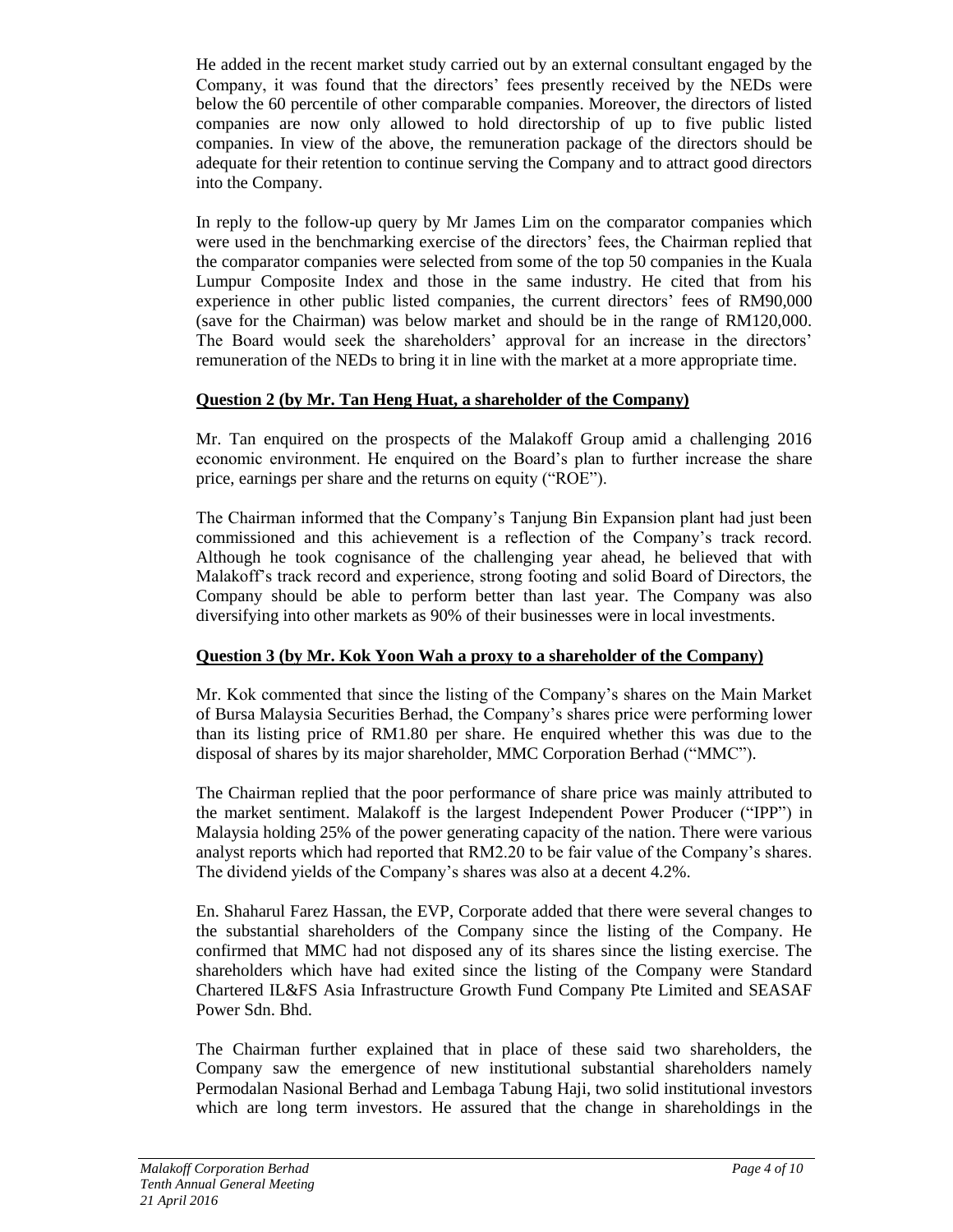He added in the recent market study carried out by an external consultant engaged by the Company, it was found that the directors' fees presently received by the NEDs were below the 60 percentile of other comparable companies. Moreover, the directors of listed companies are now only allowed to hold directorship of up to five public listed companies. In view of the above, the remuneration package of the directors should be adequate for their retention to continue serving the Company and to attract good directors into the Company.

In reply to the follow-up query by Mr James Lim on the comparator companies which were used in the benchmarking exercise of the directors' fees, the Chairman replied that the comparator companies were selected from some of the top 50 companies in the Kuala Lumpur Composite Index and those in the same industry. He cited that from his experience in other public listed companies, the current directors' fees of RM90,000 (save for the Chairman) was below market and should be in the range of RM120,000. The Board would seek the shareholders' approval for an increase in the directors' remuneration of the NEDs to bring it in line with the market at a more appropriate time.

# **Question 2 (by Mr. Tan Heng Huat, a shareholder of the Company)**

Mr. Tan enquired on the prospects of the Malakoff Group amid a challenging 2016 economic environment. He enquired on the Board's plan to further increase the share price, earnings per share and the returns on equity ("ROE").

The Chairman informed that the Company's Tanjung Bin Expansion plant had just been commissioned and this achievement is a reflection of the Company's track record. Although he took cognisance of the challenging year ahead, he believed that with Malakoff's track record and experience, strong footing and solid Board of Directors, the Company should be able to perform better than last year. The Company was also diversifying into other markets as 90% of their businesses were in local investments.

# **Question 3 (by Mr. Kok Yoon Wah a proxy to a shareholder of the Company)**

Mr. Kok commented that since the listing of the Company's shares on the Main Market of Bursa Malaysia Securities Berhad, the Company's shares price were performing lower than its listing price of RM1.80 per share. He enquired whether this was due to the disposal of shares by its major shareholder, MMC Corporation Berhad ("MMC").

The Chairman replied that the poor performance of share price was mainly attributed to the market sentiment. Malakoff is the largest Independent Power Producer ("IPP") in Malaysia holding 25% of the power generating capacity of the nation. There were various analyst reports which had reported that RM2.20 to be fair value of the Company's shares. The dividend yields of the Company's shares was also at a decent 4.2%.

En. Shaharul Farez Hassan, the EVP, Corporate added that there were several changes to the substantial shareholders of the Company since the listing of the Company. He confirmed that MMC had not disposed any of its shares since the listing exercise. The shareholders which have had exited since the listing of the Company were Standard Chartered IL&FS Asia Infrastructure Growth Fund Company Pte Limited and SEASAF Power Sdn. Bhd.

The Chairman further explained that in place of these said two shareholders, the Company saw the emergence of new institutional substantial shareholders namely Permodalan Nasional Berhad and Lembaga Tabung Haji, two solid institutional investors which are long term investors. He assured that the change in shareholdings in the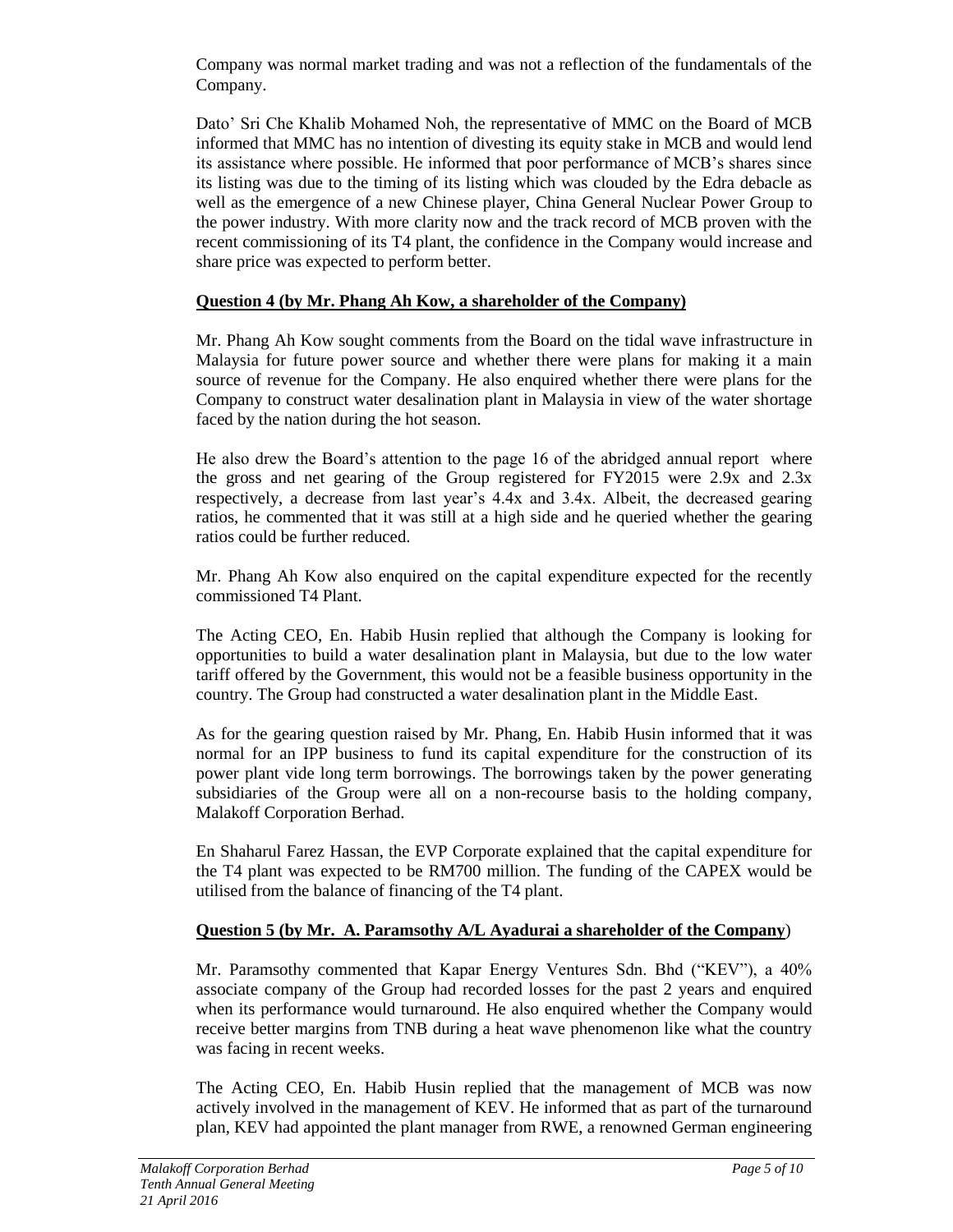Company was normal market trading and was not a reflection of the fundamentals of the Company.

Dato' Sri Che Khalib Mohamed Noh, the representative of MMC on the Board of MCB informed that MMC has no intention of divesting its equity stake in MCB and would lend its assistance where possible. He informed that poor performance of MCB's shares since its listing was due to the timing of its listing which was clouded by the Edra debacle as well as the emergence of a new Chinese player, China General Nuclear Power Group to the power industry. With more clarity now and the track record of MCB proven with the recent commissioning of its T4 plant, the confidence in the Company would increase and share price was expected to perform better.

# **Question 4 (by Mr. Phang Ah Kow, a shareholder of the Company)**

Mr. Phang Ah Kow sought comments from the Board on the tidal wave infrastructure in Malaysia for future power source and whether there were plans for making it a main source of revenue for the Company. He also enquired whether there were plans for the Company to construct water desalination plant in Malaysia in view of the water shortage faced by the nation during the hot season.

He also drew the Board's attention to the page 16 of the abridged annual report where the gross and net gearing of the Group registered for FY2015 were 2.9x and 2.3x respectively, a decrease from last year's 4.4x and 3.4x. Albeit, the decreased gearing ratios, he commented that it was still at a high side and he queried whether the gearing ratios could be further reduced.

Mr. Phang Ah Kow also enquired on the capital expenditure expected for the recently commissioned T4 Plant.

The Acting CEO, En. Habib Husin replied that although the Company is looking for opportunities to build a water desalination plant in Malaysia, but due to the low water tariff offered by the Government, this would not be a feasible business opportunity in the country. The Group had constructed a water desalination plant in the Middle East.

As for the gearing question raised by Mr. Phang, En. Habib Husin informed that it was normal for an IPP business to fund its capital expenditure for the construction of its power plant vide long term borrowings. The borrowings taken by the power generating subsidiaries of the Group were all on a non-recourse basis to the holding company, Malakoff Corporation Berhad.

En Shaharul Farez Hassan, the EVP Corporate explained that the capital expenditure for the T4 plant was expected to be RM700 million. The funding of the CAPEX would be utilised from the balance of financing of the T4 plant.

# **Question 5 (by Mr. A. Paramsothy A/L Ayadurai a shareholder of the Company**)

Mr. Paramsothy commented that Kapar Energy Ventures Sdn. Bhd ("KEV"), a 40% associate company of the Group had recorded losses for the past 2 years and enquired when its performance would turnaround. He also enquired whether the Company would receive better margins from TNB during a heat wave phenomenon like what the country was facing in recent weeks.

The Acting CEO, En. Habib Husin replied that the management of MCB was now actively involved in the management of KEV. He informed that as part of the turnaround plan, KEV had appointed the plant manager from RWE, a renowned German engineering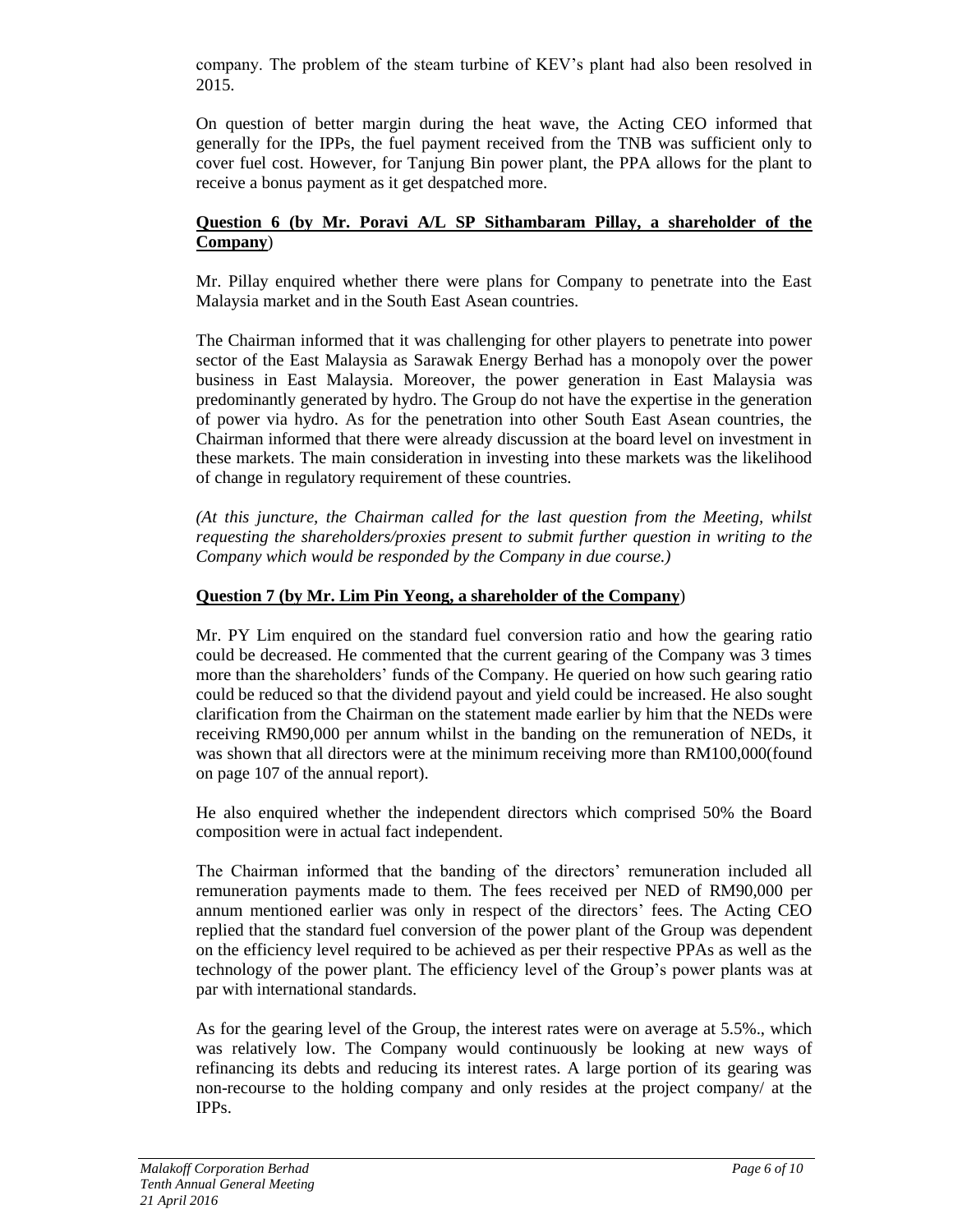company. The problem of the steam turbine of KEV's plant had also been resolved in 2015.

On question of better margin during the heat wave, the Acting CEO informed that generally for the IPPs, the fuel payment received from the TNB was sufficient only to cover fuel cost. However, for Tanjung Bin power plant, the PPA allows for the plant to receive a bonus payment as it get despatched more.

#### **Question 6 (by Mr. Poravi A/L SP Sithambaram Pillay, a shareholder of the Company**)

Mr. Pillay enquired whether there were plans for Company to penetrate into the East Malaysia market and in the South East Asean countries.

The Chairman informed that it was challenging for other players to penetrate into power sector of the East Malaysia as Sarawak Energy Berhad has a monopoly over the power business in East Malaysia. Moreover, the power generation in East Malaysia was predominantly generated by hydro. The Group do not have the expertise in the generation of power via hydro. As for the penetration into other South East Asean countries, the Chairman informed that there were already discussion at the board level on investment in these markets. The main consideration in investing into these markets was the likelihood of change in regulatory requirement of these countries.

*(At this juncture, the Chairman called for the last question from the Meeting, whilst requesting the shareholders/proxies present to submit further question in writing to the Company which would be responded by the Company in due course.)*

# **Question 7 (by Mr. Lim Pin Yeong, a shareholder of the Company**)

Mr. PY Lim enquired on the standard fuel conversion ratio and how the gearing ratio could be decreased. He commented that the current gearing of the Company was 3 times more than the shareholders' funds of the Company. He queried on how such gearing ratio could be reduced so that the dividend payout and yield could be increased. He also sought clarification from the Chairman on the statement made earlier by him that the NEDs were receiving RM90,000 per annum whilst in the banding on the remuneration of NEDs, it was shown that all directors were at the minimum receiving more than RM100,000(found on page 107 of the annual report).

He also enquired whether the independent directors which comprised 50% the Board composition were in actual fact independent.

The Chairman informed that the banding of the directors' remuneration included all remuneration payments made to them. The fees received per NED of RM90,000 per annum mentioned earlier was only in respect of the directors' fees. The Acting CEO replied that the standard fuel conversion of the power plant of the Group was dependent on the efficiency level required to be achieved as per their respective PPAs as well as the technology of the power plant. The efficiency level of the Group's power plants was at par with international standards.

As for the gearing level of the Group, the interest rates were on average at 5.5%., which was relatively low. The Company would continuously be looking at new ways of refinancing its debts and reducing its interest rates. A large portion of its gearing was non-recourse to the holding company and only resides at the project company/ at the IPPs.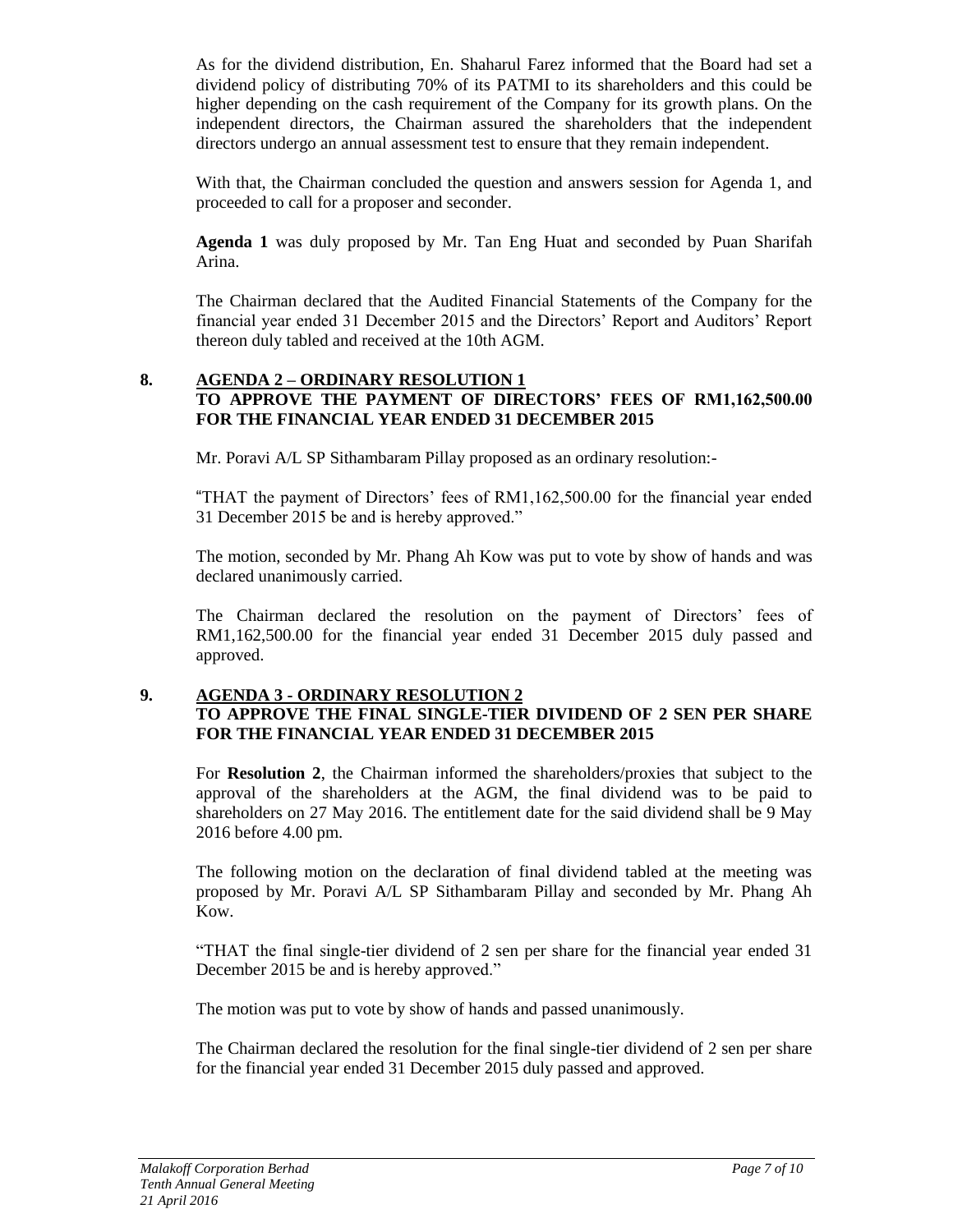As for the dividend distribution, En. Shaharul Farez informed that the Board had set a dividend policy of distributing 70% of its PATMI to its shareholders and this could be higher depending on the cash requirement of the Company for its growth plans. On the independent directors, the Chairman assured the shareholders that the independent directors undergo an annual assessment test to ensure that they remain independent.

With that, the Chairman concluded the question and answers session for Agenda 1, and proceeded to call for a proposer and seconder.

**Agenda 1** was duly proposed by Mr. Tan Eng Huat and seconded by Puan Sharifah Arina.

The Chairman declared that the Audited Financial Statements of the Company for the financial year ended 31 December 2015 and the Directors' Report and Auditors' Report thereon duly tabled and received at the 10th AGM.

#### **8. AGENDA 2 – ORDINARY RESOLUTION 1 TO APPROVE THE PAYMENT OF DIRECTORS' FEES OF RM1,162,500.00 FOR THE FINANCIAL YEAR ENDED 31 DECEMBER 2015**

Mr. Poravi A/L SP Sithambaram Pillay proposed as an ordinary resolution:-

"THAT the payment of Directors' fees of RM1,162,500.00 for the financial year ended 31 December 2015 be and is hereby approved."

The motion, seconded by Mr. Phang Ah Kow was put to vote by show of hands and was declared unanimously carried.

The Chairman declared the resolution on the payment of Directors' fees of RM1,162,500.00 for the financial year ended 31 December 2015 duly passed and approved.

#### **9. AGENDA 3 - ORDINARY RESOLUTION 2 TO APPROVE THE FINAL SINGLE-TIER DIVIDEND OF 2 SEN PER SHARE FOR THE FINANCIAL YEAR ENDED 31 DECEMBER 2015**

For **Resolution 2**, the Chairman informed the shareholders/proxies that subject to the approval of the shareholders at the AGM, the final dividend was to be paid to shareholders on 27 May 2016. The entitlement date for the said dividend shall be 9 May 2016 before 4.00 pm.

The following motion on the declaration of final dividend tabled at the meeting was proposed by Mr. Poravi A/L SP Sithambaram Pillay and seconded by Mr. Phang Ah Kow.

"THAT the final single-tier dividend of 2 sen per share for the financial year ended 31 December 2015 be and is hereby approved."

The motion was put to vote by show of hands and passed unanimously.

The Chairman declared the resolution for the final single-tier dividend of 2 sen per share for the financial year ended 31 December 2015 duly passed and approved.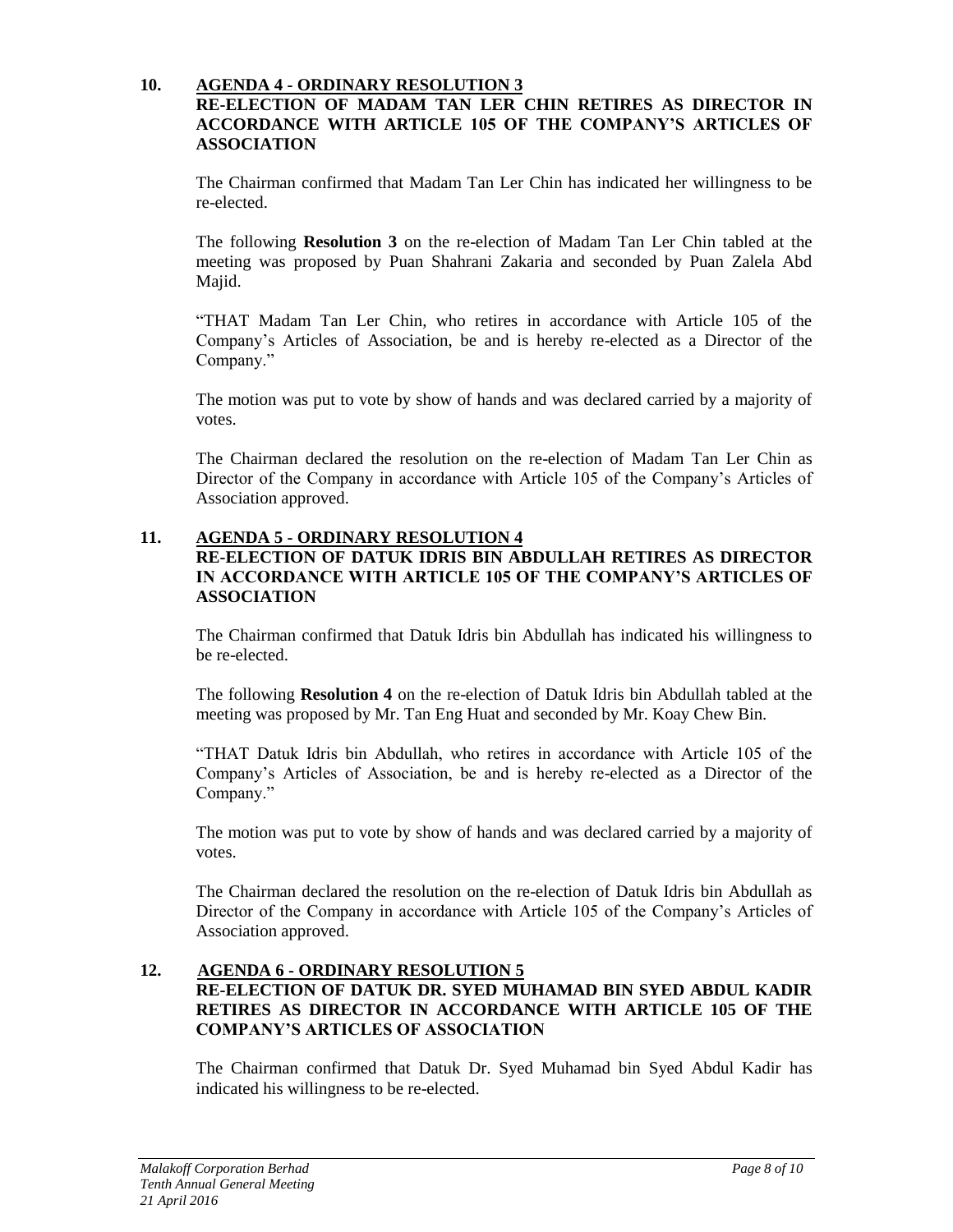# **10. AGENDA 4 - ORDINARY RESOLUTION 3**

# **RE-ELECTION OF MADAM TAN LER CHIN RETIRES AS DIRECTOR IN ACCORDANCE WITH ARTICLE 105 OF THE COMPANY'S ARTICLES OF ASSOCIATION**

The Chairman confirmed that Madam Tan Ler Chin has indicated her willingness to be re-elected.

The following **Resolution 3** on the re-election of Madam Tan Ler Chin tabled at the meeting was proposed by Puan Shahrani Zakaria and seconded by Puan Zalela Abd Majid.

"THAT Madam Tan Ler Chin, who retires in accordance with Article 105 of the Company's Articles of Association, be and is hereby re-elected as a Director of the Company."

The motion was put to vote by show of hands and was declared carried by a majority of votes.

The Chairman declared the resolution on the re-election of Madam Tan Ler Chin as Director of the Company in accordance with Article 105 of the Company's Articles of Association approved.

# **11. AGENDA 5 - ORDINARY RESOLUTION 4**

#### **RE-ELECTION OF DATUK IDRIS BIN ABDULLAH RETIRES AS DIRECTOR IN ACCORDANCE WITH ARTICLE 105 OF THE COMPANY'S ARTICLES OF ASSOCIATION**

The Chairman confirmed that Datuk Idris bin Abdullah has indicated his willingness to be re-elected.

The following **Resolution 4** on the re-election of Datuk Idris bin Abdullah tabled at the meeting was proposed by Mr. Tan Eng Huat and seconded by Mr. Koay Chew Bin.

"THAT Datuk Idris bin Abdullah, who retires in accordance with Article 105 of the Company's Articles of Association, be and is hereby re-elected as a Director of the Company."

The motion was put to vote by show of hands and was declared carried by a majority of votes.

The Chairman declared the resolution on the re-election of Datuk Idris bin Abdullah as Director of the Company in accordance with Article 105 of the Company's Articles of Association approved.

#### **12. AGENDA 6 - ORDINARY RESOLUTION 5 RE-ELECTION OF DATUK DR. SYED MUHAMAD BIN SYED ABDUL KADIR RETIRES AS DIRECTOR IN ACCORDANCE WITH ARTICLE 105 OF THE COMPANY'S ARTICLES OF ASSOCIATION**

The Chairman confirmed that Datuk Dr. Syed Muhamad bin Syed Abdul Kadir has indicated his willingness to be re-elected.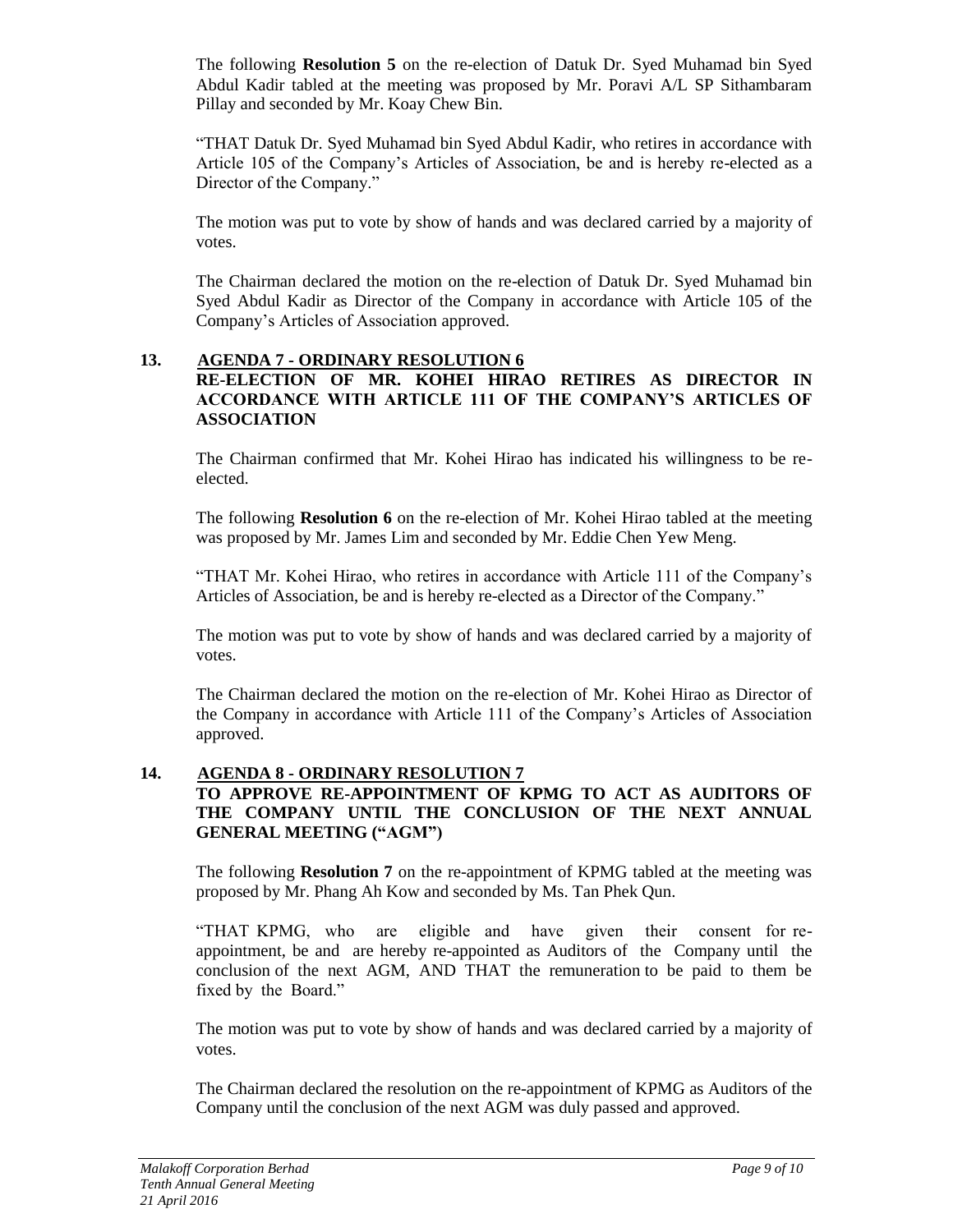The following **Resolution 5** on the re-election of Datuk Dr. Syed Muhamad bin Syed Abdul Kadir tabled at the meeting was proposed by Mr. Poravi A/L SP Sithambaram Pillay and seconded by Mr. Koay Chew Bin.

"THAT Datuk Dr. Syed Muhamad bin Syed Abdul Kadir, who retires in accordance with Article 105 of the Company's Articles of Association, be and is hereby re-elected as a Director of the Company."

The motion was put to vote by show of hands and was declared carried by a majority of votes.

The Chairman declared the motion on the re-election of Datuk Dr. Syed Muhamad bin Syed Abdul Kadir as Director of the Company in accordance with Article 105 of the Company's Articles of Association approved.

#### **13. AGENDA 7 - ORDINARY RESOLUTION 6 RE-ELECTION OF MR. KOHEI HIRAO RETIRES AS DIRECTOR IN ACCORDANCE WITH ARTICLE 111 OF THE COMPANY'S ARTICLES OF ASSOCIATION**

The Chairman confirmed that Mr. Kohei Hirao has indicated his willingness to be reelected.

The following **Resolution 6** on the re-election of Mr. Kohei Hirao tabled at the meeting was proposed by Mr. James Lim and seconded by Mr. Eddie Chen Yew Meng.

"THAT Mr. Kohei Hirao, who retires in accordance with Article 111 of the Company's Articles of Association, be and is hereby re-elected as a Director of the Company."

The motion was put to vote by show of hands and was declared carried by a majority of votes.

The Chairman declared the motion on the re-election of Mr. Kohei Hirao as Director of the Company in accordance with Article 111 of the Company's Articles of Association approved.

#### **14. AGENDA 8 - ORDINARY RESOLUTION 7 TO APPROVE RE-APPOINTMENT OF KPMG TO ACT AS AUDITORS OF THE COMPANY UNTIL THE CONCLUSION OF THE NEXT ANNUAL GENERAL MEETING ("AGM")**

The following **Resolution 7** on the re-appointment of KPMG tabled at the meeting was proposed by Mr. Phang Ah Kow and seconded by Ms. Tan Phek Qun.

"THAT KPMG, who are eligible and have given their consent for reappointment, be and are hereby re-appointed as Auditors of the Company until the conclusion of the next AGM, AND THAT the remuneration to be paid to them be fixed by the Board."

The motion was put to vote by show of hands and was declared carried by a majority of votes.

The Chairman declared the resolution on the re-appointment of KPMG as Auditors of the Company until the conclusion of the next AGM was duly passed and approved.